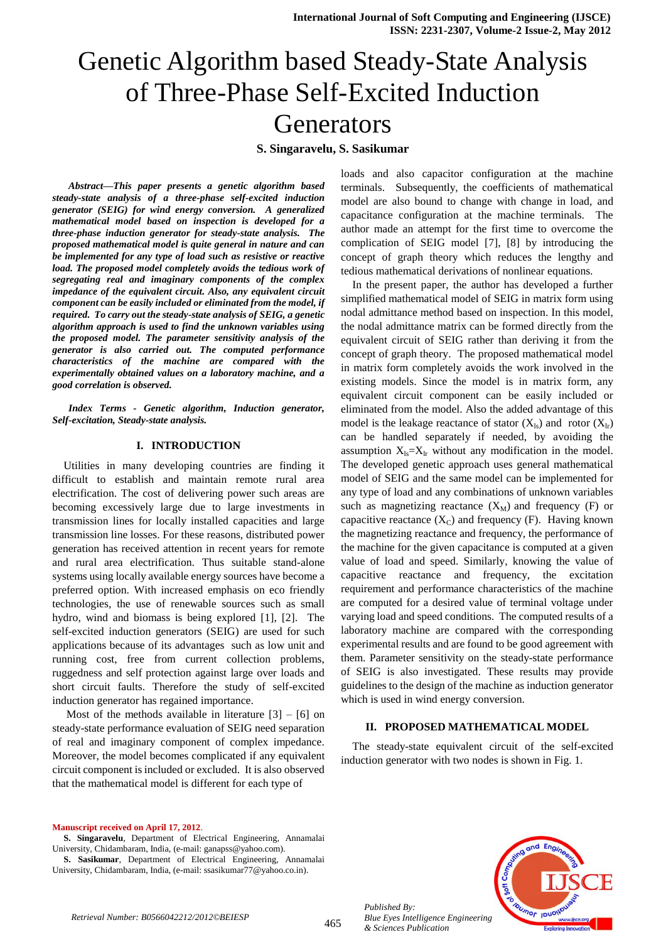# Genetic Algorithm based Steady-State Analysis of Three-Phase Self-Excited Induction Generators

**S. Singaravelu, S. Sasikumar**

*Abstract—This paper presents a genetic algorithm based steady-state analysis of a three-phase self-excited induction generator (SEIG) for wind energy conversion. A generalized mathematical model based on inspection is developed for a three-phase induction generator for steady-state analysis. The proposed mathematical model is quite general in nature and can be implemented for any type of load such as resistive or reactive load. The proposed model completely avoids the tedious work of segregating real and imaginary components of the complex impedance of the equivalent circuit. Also, any equivalent circuit component can be easily included or eliminated from the model, if required. To carry out the steady-state analysis of SEIG, a genetic algorithm approach is used to find the unknown variables using the proposed model. The parameter sensitivity analysis of the generator is also carried out. The computed performance characteristics of the machine are compared with the experimentally obtained values on a laboratory machine, and a good correlation is observed.*

*Index Terms - Genetic algorithm, Induction generator, Self-excitation, Steady-state analysis.* 

# **I. INTRODUCTION**

Utilities in many developing countries are finding it difficult to establish and maintain remote rural area electrification. The cost of delivering power such areas are becoming excessively large due to large investments in transmission lines for locally installed capacities and large transmission line losses. For these reasons, distributed power generation has received attention in recent years for remote and rural area electrification. Thus suitable stand-alone systems using locally available energy sources have become a preferred option. With increased emphasis on eco friendly technologies, the use of renewable sources such as small hydro, wind and biomass is being explored [1], [2]. The self-excited induction generators (SEIG) are used for such applications because of its advantages such as low unit and running cost, free from current collection problems, ruggedness and self protection against large over loads and short circuit faults. Therefore the study of self-excited induction generator has regained importance.

Most of the methods available in literature  $[3] - [6]$  on steady-state performance evaluation of SEIG need separation of real and imaginary component of complex impedance. Moreover, the model becomes complicated if any equivalent circuit component is included or excluded. It is also observed that the mathematical model is different for each type of

**Manuscript received on April 17, 2012**.

**S. Sasikumar**, Department of Electrical Engineering, Annamalai University, Chidambaram, India, (e-mail: ssasikumar77@yahoo.co.in).

loads and also capacitor configuration at the machine terminals. Subsequently, the coefficients of mathematical model are also bound to change with change in load, and capacitance configuration at the machine terminals. The author made an attempt for the first time to overcome the complication of SEIG model [7], [8] by introducing the concept of graph theory which reduces the lengthy and tedious mathematical derivations of nonlinear equations.

In the present paper, the author has developed a further simplified mathematical model of SEIG in matrix form using nodal admittance method based on inspection. In this model, the nodal admittance matrix can be formed directly from the equivalent circuit of SEIG rather than deriving it from the concept of graph theory. The proposed mathematical model in matrix form completely avoids the work involved in the existing models. Since the model is in matrix form, any equivalent circuit component can be easily included or eliminated from the model. Also the added advantage of this model is the leakage reactance of stator  $(X_{ls})$  and rotor  $(X_{lr})$ can be handled separately if needed, by avoiding the assumption  $X_{ls} = X_{lr}$  without any modification in the model. The developed genetic approach uses general mathematical model of SEIG and the same model can be implemented for any type of load and any combinations of unknown variables such as magnetizing reactance  $(X_M)$  and frequency (F) or capacitive reactance  $(X_C)$  and frequency (F). Having known the magnetizing reactance and frequency, the performance of the machine for the given capacitance is computed at a given value of load and speed. Similarly, knowing the value of capacitive reactance and frequency, the excitation requirement and performance characteristics of the machine are computed for a desired value of terminal voltage under varying load and speed conditions. The computed results of a laboratory machine are compared with the corresponding experimental results and are found to be good agreement with them. Parameter sensitivity on the steady-state performance of SEIG is also investigated. These results may provide guidelines to the design of the machine as induction generator which is used in wind energy conversion.

### **II. PROPOSED MATHEMATICAL MODEL**

The steady-state equivalent circuit of the self-excited induction generator with two nodes is shown in Fig. 1.



465

**S. Singaravelu**, Department of Electrical Engineering, Annamalai University, Chidambaram, India, (e-mail: ganapss@yahoo.com).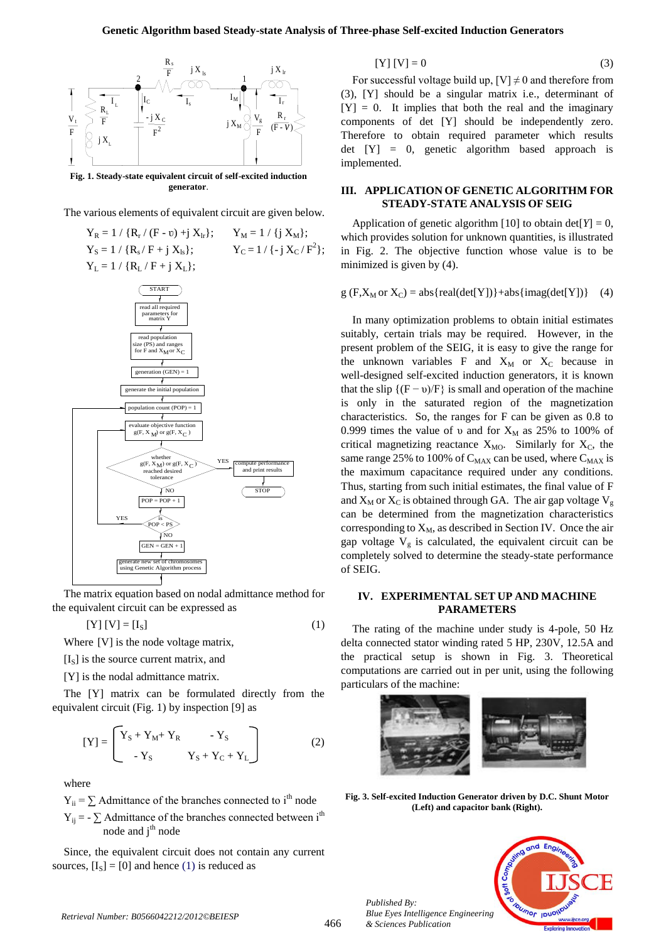#### **Genetic Algorithm based Steady-state Analysis of Three-phase Self-excited Induction Generators**



**Fig. 1. Steady-state equivalent circuit of self-excited induction generator**.

The various elements of equivalent circuit are given below.

$$
Y_R = 1 / {R_r / (F - v) + j X_h}; \t Y_M = 1 / {j X_M};
$$
\n
$$
Y_S = 1 / {R_s / F + j X_h}; \t Y_C = 1 / {-j X_C / F^2};
$$
\n
$$
Y_L = 1 / {R_L / F + j X_L};
$$
\n
$$
\underbrace{\underbrace{\underbrace{\underbrace{\underbrace{\text{START}}_{\text{read all required}}}_{\text{parameters for}}
$$
\n
$$
\underbrace{\underbrace{\underbrace{\overbrace{\text{read population}}_{\text{for } F \text{ and } X_M \text{ or } X_C}}_{\text{general to (GEN) = 1}}}
$$
\n
$$
\underbrace{\underbrace{\underbrace{\underbrace{\text{generator} \text{ (GEN)}_{\text{general} + \text{in}}}_{\text{general to the initial population}}}_{\text{gradient} \text{ (QEN) = 1}}
$$
\n
$$
\underbrace{\underbrace{\overbrace{\text{generation} \text{ (GEN)}_{\text{general} + \text{in}}}_{\text{valate objective function}}}_{\text{valate objective function}}
$$
\n
$$
\underbrace{\underbrace{\overbrace{\text{gen}}_{\text{vability} \text{ or } g(F, X_C)}_{\text{vectors}}}_{\text{valate objective function}}
$$
\n
$$
\underbrace{\overbrace{\text{compute performance}}_{\text{and print results}}}_{\text{for a new set of chromosomes}}
$$
\n
$$
\underbrace{\underbrace{\text{vectors}}_{\text{nonfree} \text{ (GEN) = \text{ GEN + 1}}} \underbrace{\overbrace{\text{vectors}}_{\text{100}}}_{\text{100}}}
$$

The matrix equation based on nodal admittance method for the equivalent circuit can be expressed as

 $[Y] [V] = [I<sub>S</sub>]$  (1)

Where [V] is the node voltage matrix,

[IS] is the source current matrix, and

[Y] is the nodal admittance matrix.

The [Y] matrix can be formulated directly from the equivalent circuit (Fig. 1) by inspection [9] as

$$
[\mathbf{Y}] = \begin{bmatrix} \mathbf{Y}_S + \mathbf{Y}_M + \mathbf{Y}_R & -\mathbf{Y}_S \\ -\mathbf{Y}_S & \mathbf{Y}_S + \mathbf{Y}_C + \mathbf{Y}_L \end{bmatrix} \tag{2}
$$

where

 $Y_{ii} = \sum A$ dmittance of the branches connected to i<sup>th</sup> node  $Y_{ii} = -\sum$  Admittance of the branches connected between i<sup>th</sup> node and  $j<sup>th</sup>$  node

Since, the equivalent circuit does not contain any current sources,  $[I<sub>S</sub>] = [0]$  and hence (1) is reduced as

$$
\begin{aligned}\n \text{j } \mathbf{X}_{1_{\mathbf{r}}} & \text{j } \mathbf{X}_{1_{\mathbf{r}}} \\
 \end{aligned}\n \tag{3}
$$

 $\frac{V_t}{F} \ge \frac{R_t}{F}$   $\frac{V}{F^2}$   $\frac{1}{F^2}$   $\frac{1}{F^2}$   $\frac{V_s}{F}$   $\frac{R_r}{F^2}$   $\frac{R_r}{F}$   $\frac{V_l}{F}$   $\frac{1}{F}$   $\frac{1}{F}$   $\frac{1}{F}$   $\frac{1}{F}$   $\frac{1}{F}$   $\frac{1}{F}$   $\frac{1}{F}$   $\frac{1}{F}$   $\frac{1}{F}$   $\frac{1}{F}$   $\frac{1}{F}$   $\frac{1}{F}$  $\begin{array}{c} F \\ \downarrow \end{array}$   $\begin{array}{c} F^2 \\ \downarrow \end{array}$   $\begin{array}{c} \uparrow \end{array}$   $\begin{array}{c} \uparrow \end{array}$   $\begin{array}{c} \uparrow \end{array}$  Therefore to obtain required parameter which results  $\begin{bmatrix} 1 \ 1 \end{bmatrix}$   $\begin{bmatrix} 1 \ 1 \end{bmatrix}$   $\begin{bmatrix} 1 \ 1 \end{bmatrix}$  is routed by the real and the imaginary  $\downarrow$  det [Y] = 0, genetic algorithm based approach is  $R_s$ <br>  $\begin{array}{ccc}\n\overline{F} & jX_{ls} & jX_{lr} \\
\hline\n\end{array}$   $\begin{array}{ccc}\n\overline{F} & jX_{ls} & jX_{lr} \\
\hline\n\end{array}$  For successful voltage build up,  $[V] \neq 0$  and therefore from<br>  $\begin{array}{ccc}\n\overline{F} & jX_{ls} & jX_{lr} \\
\hline\nI_s & & I_M\n\end{array}$ <br>  $\begin{array}{ccc}\n\overline{F} & jX_{ls} & jX_{lr}$  $I_M$   $\begin{bmatrix} 1 & 1 \\ 1 & -1 \end{bmatrix}$  (3), [Y] should be a singular matrix i.e., determinant of implemented.

#### **III. APPLICATION OF GENETIC ALGORITHM FOR STEADY-STATE ANALYSIS OF SEIG**

Application of genetic algorithm [10] to obtain  $det[Y] = 0$ , which provides solution for unknown quantities, is illustrated in Fig. 2. The objective function whose value is to be minimized is given by (4).

# g (F, $X_M$  or  $X_C$ ) = abs{real(det[Y])}+abs{imag(det[Y])} (4)

In many optimization problems to obtain initial estimates suitably, certain trials may be required. However, in the present problem of the SEIG, it is easy to give the range for the unknown variables F and  $X_M$  or  $X_C$  because in well-designed self-excited induction generators, it is known that the slip  $\{(F - v)/F\}$  is small and operation of the machine is only in the saturated region of the magnetization characteristics. So, the ranges for F can be given as 0.8 to 0.999 times the value of v and for  $X_M$  as 25% to 100% of critical magnetizing reactance  $X_{MO}$ . Similarly for  $X_C$ , the same range 25% to 100% of  $C_{MAX}$  can be used, where  $C_{MAX}$  is the maximum capacitance required under any conditions. Thus, starting from such initial estimates, the final value of F and  $X_M$  or  $X_C$  is obtained through GA. The air gap voltage  $V_g$ can be determined from the magnetization characteristics corresponding to  $X_M$ , as described in Section IV. Once the air gap voltage  $V_g$  is calculated, the equivalent circuit can be completely solved to determine the steady-state performance of SEIG.

# **IV. EXPERIMENTAL SET UP AND MACHINE PARAMETERS**

The rating of the machine under study is 4-pole, 50 Hz delta connected stator winding rated 5 HP, 230V, 12.5A and the practical setup is shown in Fig. 3. Theoretical computations are carried out in per unit, using the following particulars of the machine:



**Fig. 3. Self-excited Induction Generator driven by D.C. Shunt Motor (Left) and capacitor bank (Right).**



*Published By: Blue Eyes Intelligence Engineering & Sciences Publication*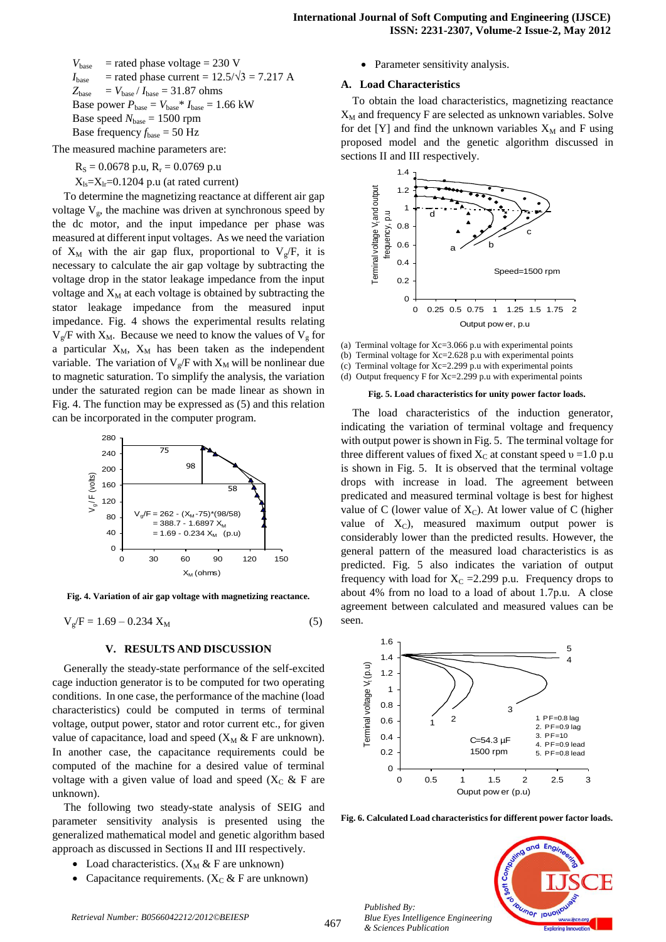$V_{\text{base}}$  = rated phase voltage = 230 V  $I<sub>base</sub>$  = rated phase current =  $12.5/\sqrt{3} = 7.217$  A  $Z_{\text{base}}$  =  $V_{\text{base}} / I_{\text{base}} = 31.87 \text{ ohms}$ Base power  $P_{base} = V_{base} * I_{base} = 1.66$  kW Base speed  $N_{base} = 1500$  rpm Base frequency  $f_{base} = 50$  Hz

The measured machine parameters are:

 $R_s = 0.0678$  p.u,  $R_r = 0.0769$  p.u

 $X_{1s}=X_{1r}=0.1204$  p.u (at rated current)

To determine the magnetizing reactance at different air gap voltage  $V_g$ , the machine was driven at synchronous speed by the dc motor, and the input impedance per phase was measured at different input voltages. As we need the variation of  $X_M$  with the air gap flux, proportional to  $V_g/F$ , it is necessary to calculate the air gap voltage by subtracting the voltage drop in the stator leakage impedance from the input voltage and  $X_M$  at each voltage is obtained by subtracting the stator leakage impedance from the measured input impedance. Fig. 4 shows the experimental results relating  $V_{\varrho}/F$  with  $X_M$ . Because we need to know the values of  $V_{\varrho}$  for a particular  $X_M$ ,  $X_M$  has been taken as the independent variable. The variation of  $V_{g}/F$  with  $X_{M}$  will be nonlinear due to magnetic saturation. To simplify the analysis, the variation under the saturated region can be made linear as shown in Fig. 4. The function may be expressed as (5) and this relation can be incorporated in the computer program.



**Fig. 4. Variation of air gap voltage with magnetizing reactance.** Fig. 4. Variation of air gap voltage with magnetizing reactance.

$$
V_g / F = 1.69 - 0.234 X_M
$$
 (5)

#### **V. RESULTS AND DISCUSSION**

Generally the steady-state performance of the self-excited cage induction generator is to be computed for two operating conditions. In one case, the performance of the machine (load characteristics) could be computed in terms of terminal voltage, output power, stator and rotor current etc., for given value of capacitance, load and speed  $(X_M \& F$  are unknown). In another case, the capacitance requirements could be computed of the machine for a desired value of terminal voltage with a given value of load and speed  $(X_C \& F \text{ are } C)$ unknown).

The following two steady-state analysis of SEIG and parameter sensitivity analysis is presented using the generalized mathematical model and genetic algorithm based approach as discussed in Sections II and III respectively.

- Load characteristics.  $(X_M & F$  are unknown)
- Capacitance requirements.  $(X_C \& F \text{ are unknown})$

• Parameter sensitivity analysis.

### **A. Load Characteristics**

To obtain the load characteristics, magnetizing reactance  $X_M$  and frequency F are selected as unknown variables. Solve for det [Y] and find the unknown variables  $X_M$  and F using proposed model and the genetic algorithm discussed in sections II and III respectively.



- (a) Terminal voltage for Xc=3.066 p.u with experimental points
- (a) Terminal voltage for Xc=3.066 p.u with experimental points (b) Terminal voltage for Xc=2.628 p.u with experimental points
- (b) Terminal voltage for Xc=2.628 p.u with experimental points (c) Terminal voltage for Xc=2.299 p.u with experimental points  $\frac{1}{2}$  Terminal voltage for  $\Delta t = 2.299$  p.u with experimental points
- (d) Output frequency  $F$  for  $Xc=2.299$  p.u with experimental points

#### **Fig. 5. Load characteristics for unity power factor loads.**

The load characteristics of the induction generator, indicating the variation of terminal voltage and frequency with output power is shown in Fig. 5. The terminal voltage for three different values of fixed  $X_C$  at constant speed  $\nu = 1.0$  p.u is shown in Fig. 5. It is observed that the terminal voltage drops with increase in load. The agreement between predicated and measured terminal voltage is best for highest value of C (lower value of  $X<sub>C</sub>$ ). At lower value of C (higher value of  $X<sub>C</sub>$ ), measured maximum output power is considerably lower than the predicted results. However, the general pattern of the measured load characteristics is as predicted. Fig. 5 also indicates the variation of output frequency with load for  $X_C = 2.299$  p.u. Frequency drops to about 4% from no load to a load of about 1.7p.u. A close agreement between calculated and measured values can be seen.



**Fig. 6. Calculated Load characteristics for different power factor loads.** Fig. 6. Calculated Load characteristics for different power factor loads.

*Published By: Blue Eyes Intelligence Engineering & Sciences Publication* 

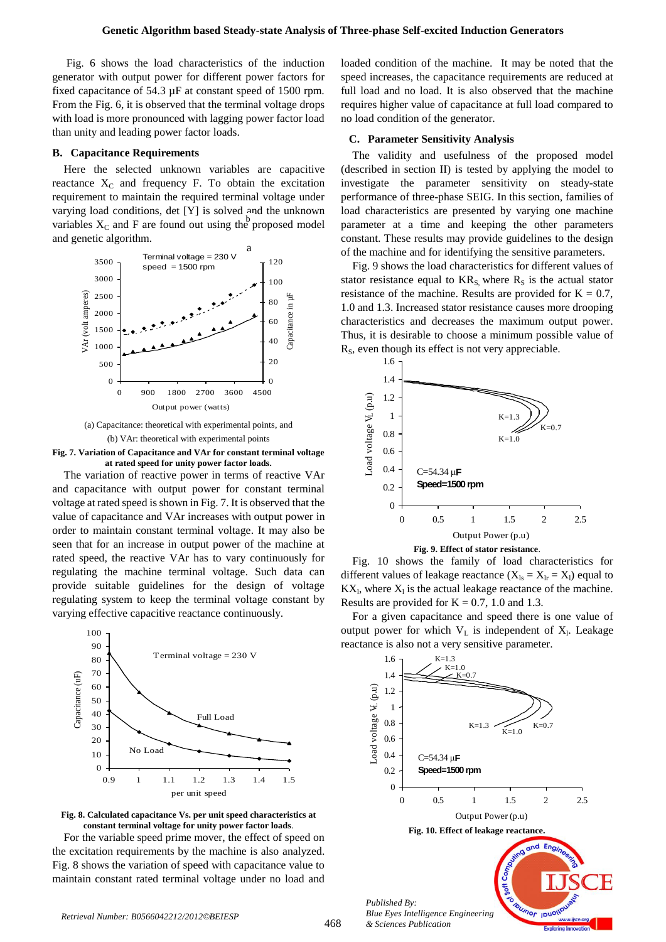Fig. 6 shows the load characteristics of the induction generator with output power for different power factors for fixed capacitance of 54.3 µF at constant speed of 1500 rpm. From the Fig. 6, it is observed that the terminal voltage drops with load is more pronounced with lagging power factor load than unity and leading power factor loads.

#### **B. Capacitance Requirements**

Here the selected unknown variables are capacitive reactance  $X_C$  and frequency F. To obtain the excitation requirement to maintain the required terminal voltage under varying load conditions, det [Y] is solved and the unknown variables  $X_C$  and F are found out using the proposed model and genetic algorithm.



(b) VAr: theoretical with experimental points (a) Capacitance: theoretical with experimental points, and

**Fig. 7. Variation of Capacitance and VAr for constant terminal voltage** unity power factor loads. **at rated speed for unity power factor loads.**

The variation of reactive power in terms of reactive VAr and capacitance with output power for constant terminal voltage at rated speed is shown in Fig. 7. It is observed that the value of capacitance and VAr increases with output power in order to maintain constant terminal voltage. It may also be seen that for an increase in output power of the machine at rated speed, the reactive VAr has to vary continuously for regulating the machine terminal voltage. Such data can provide suitable guidelines for the design of voltage regulating system to keep the terminal voltage constant by varying effective capacitive reactance continuously.



Fig. 8. Calculated capacitance / per unit speed characteristics at constant terminal **Fig. 8. Calculated capacitance Vs. per unit speed characteristics at constant terminal voltage for unity power factor loads**.

For the variable speed prime mover, the effect of speed on the excitation requirements by the machine is also analyzed. Fig. 8 shows the variation of speed with capacitance value to maintain constant rated terminal voltage under no load and

loaded condition of the machine. It may be noted that the speed increases, the capacitance requirements are reduced at full load and no load. It is also observed that the machine requires higher value of capacitance at full load compared to no load condition of the generator.

#### **C. Parameter Sensitivity Analysis**

The validity and usefulness of the proposed model (described in section II) is tested by applying the model to investigate the parameter sensitivity on steady-state performance of three-phase SEIG. In this section, families of load characteristics are presented by varying one machine parameter at a time and keeping the other parameters constant. These results may provide guidelines to the design of the machine and for identifying the sensitive parameters.

Fig. 9 shows the load characteristics for different values of stator resistance equal to  $KR<sub>S</sub>$ , where  $R<sub>S</sub>$  is the actual stator resistance of the machine. Results are provided for  $K = 0.7$ , 1.0 and 1.3. Increased stator resistance causes more drooping characteristics and decreases the maximum output power. Thus, it is desirable to choose a minimum possible value of  $R<sub>S</sub>$ , even though its effect is not very appreciable.



**Fig. 9. Effect of stator resistance**.

Fig. 10 shows the family of load characteristics for different values of leakage reactance  $(X_{ls} = X_{lr} = X_l)$  equal to  $KX_l$ , where  $X_l$  is the actual leakage reactance of the machine. Results are provided for  $K = 0.7$ , 1.0 and 1.3.

For a given capacitance and speed there is one value of output power for which  $V_L$  is independent of  $X_l$ . Leakage reactance is also not a very sensitive parameter.

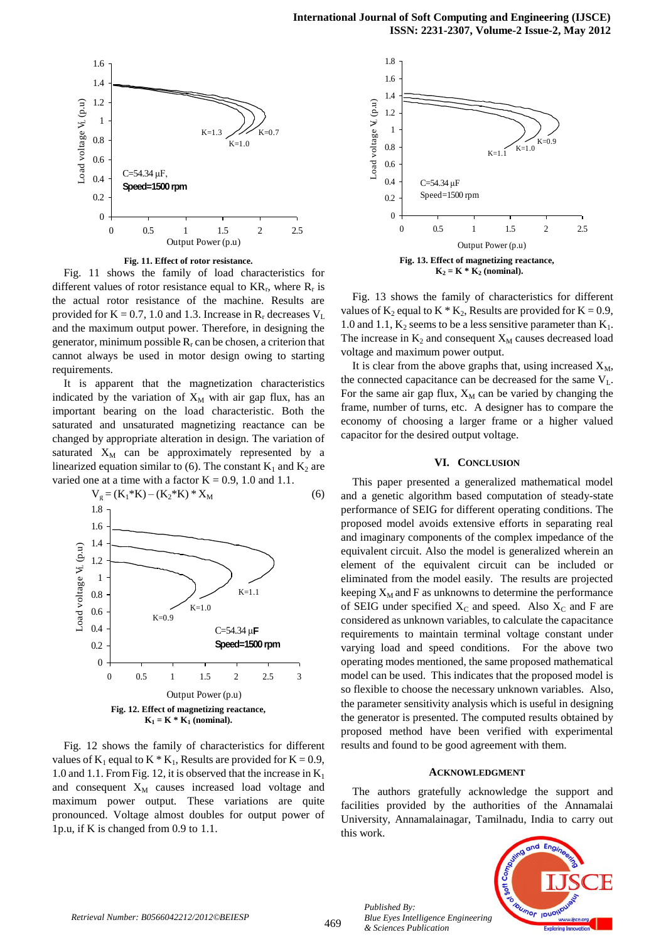

**Fig. 11. Effect of rotor resistance.**

Fig. 11 shows the family of load characteristics for different values of rotor resistance equal to  $KR_r$ , where  $R_r$  is the actual rotor resistance of the machine. Results are provided for  $K = 0.7$ , 1.0 and 1.3. Increase in  $R_r$  decreases  $V_l$ and the maximum output power. Therefore, in designing the generator, minimum possible  $R_r$  can be chosen, a criterion that cannot always be used in motor design owing to starting requirements.

It is apparent that the magnetization characteristics indicated by the variation of  $X_M$  with air gap flux, has an important bearing on the load characteristic. Both the saturated and unsaturated magnetizing reactance can be changed by appropriate alteration in design. The variation of saturated  $X_M$  can be approximately represented by a linearized equation similar to (6). The constant  $K_1$  and  $K_2$  are varied one at a time with a factor  $K = 0.9$ , 1.0 and 1.1.



Fig. 12 shows the family of characteristics for different values of  $K_1$  equal to  $K * K_1$ , Results are provided for  $K = 0.9$ , 1.0 and 1.1. From Fig. 12, it is observed that the increase in  $K_1$ and consequent  $X_M$  causes increased load voltage and maximum power output. These variations are quite pronounced. Voltage almost doubles for output power of 1p.u, if K is changed from 0.9 to 1.1.



Fig. 13 shows the family of characteristics for different values of  $K_2$  equal to  $K * K_2$ , Results are provided for  $K = 0.9$ , 1.0 and 1.1,  $K_2$  seems to be a less sensitive parameter than  $K_1$ . The increase in  $K_2$  and consequent  $X_M$  causes decreased load voltage and maximum power output.

It is clear from the above graphs that, using increased  $X_M$ , the connected capacitance can be decreased for the same  $V<sub>L</sub>$ . For the same air gap flux,  $X_M$  can be varied by changing the frame, number of turns, etc. A designer has to compare the economy of choosing a larger frame or a higher valued capacitor for the desired output voltage.

#### **VI. CONCLUSION**

This paper presented a generalized mathematical model and a genetic algorithm based computation of steady-state performance of SEIG for different operating conditions. The proposed model avoids extensive efforts in separating real and imaginary components of the complex impedance of the equivalent circuit. Also the model is generalized wherein an element of the equivalent circuit can be included or eliminated from the model easily. The results are projected keeping  $X_M$  and F as unknowns to determine the performance of SEIG under specified  $X_C$  and speed. Also  $X_C$  and F are considered as unknown variables, to calculate the capacitance requirements to maintain terminal voltage constant under varying load and speed conditions. For the above two operating modes mentioned, the same proposed mathematical model can be used. This indicates that the proposed model is so flexible to choose the necessary unknown variables. Also, the parameter sensitivity analysis which is useful in designing the generator is presented. The computed results obtained by proposed method have been verified with experimental results and found to be good agreement with them.

#### **ACKNOWLEDGMENT**

The authors gratefully acknowledge the support and facilities provided by the authorities of the Annamalai University, Annamalainagar, Tamilnadu, India to carry out this work.



*Published By:*

*& Sciences Publication* 

*Blue Eyes Intelligence Engineering*